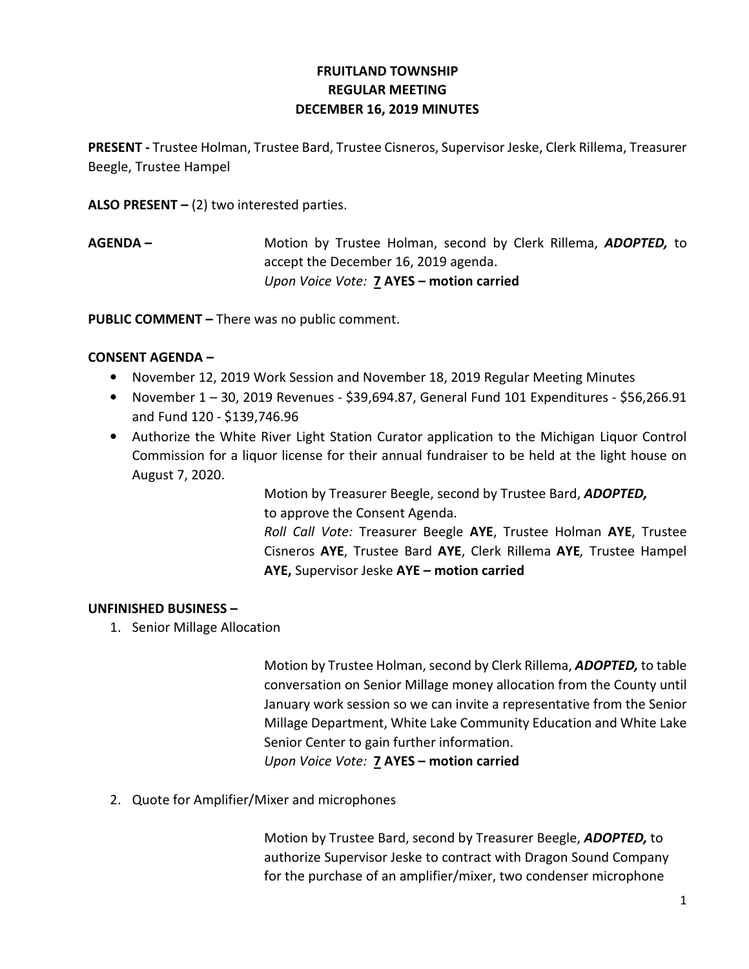# FRUITLAND TOWNSHIP REGULAR MEETING DECEMBER 16, 2019 MINUTES

PRESENT - Trustee Holman, Trustee Bard, Trustee Cisneros, Supervisor Jeske, Clerk Rillema, Treasurer Beegle, Trustee Hampel

ALSO PRESENT  $-$  (2) two interested parties.

AGENDA – Motion by Trustee Holman, second by Clerk Rillema, ADOPTED, to accept the December 16, 2019 agenda. Upon Voice Vote: 7 AYES - motion carried

PUBLIC COMMENT – There was no public comment.

## CONSENT AGENDA –

- November 12, 2019 Work Session and November 18, 2019 Regular Meeting Minutes
- November  $1 30$ , 2019 Revenues \$39,694.87, General Fund 101 Expenditures \$56,266.91 and Fund 120 - \$139,746.96
- Authorize the White River Light Station Curator application to the Michigan Liquor Control Commission for a liquor license for their annual fundraiser to be held at the light house on August 7, 2020.

Motion by Treasurer Beegle, second by Trustee Bard, **ADOPTED**, to approve the Consent Agenda.

Roll Call Vote: Treasurer Beegle AYE, Trustee Holman AYE, Trustee Cisneros AYE, Trustee Bard AYE, Clerk Rillema AYE, Trustee Hampel AYE, Supervisor Jeske AYE – motion carried

### UNFINISHED BUSINESS –

1. Senior Millage Allocation

Motion by Trustee Holman, second by Clerk Rillema, ADOPTED, to table conversation on Senior Millage money allocation from the County until January work session so we can invite a representative from the Senior Millage Department, White Lake Community Education and White Lake Senior Center to gain further information. Upon Voice Vote: 7 AYES – motion carried

2. Quote for Amplifier/Mixer and microphones

Motion by Trustee Bard, second by Treasurer Beegle, ADOPTED, to authorize Supervisor Jeske to contract with Dragon Sound Company for the purchase of an amplifier/mixer, two condenser microphone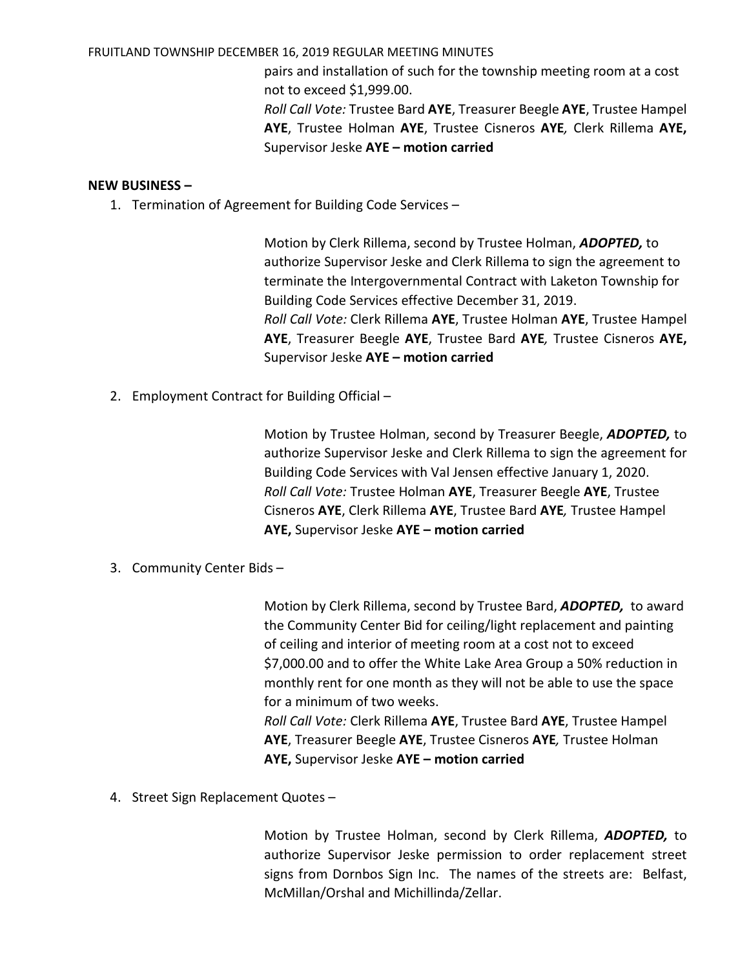#### FRUITLAND TOWNSHIP DECEMBER 16, 2019 REGULAR MEETING MINUTES

pairs and installation of such for the township meeting room at a cost not to exceed \$1,999.00.

Roll Call Vote: Trustee Bard AYE, Treasurer Beegle AYE, Trustee Hampel AYE, Trustee Holman AYE, Trustee Cisneros AYE, Clerk Rillema AYE, Supervisor Jeske AYE - motion carried

#### NEW BUSINESS –

1. Termination of Agreement for Building Code Services –

Motion by Clerk Rillema, second by Trustee Holman, ADOPTED, to authorize Supervisor Jeske and Clerk Rillema to sign the agreement to terminate the Intergovernmental Contract with Laketon Township for Building Code Services effective December 31, 2019. Roll Call Vote: Clerk Rillema AYE, Trustee Holman AYE, Trustee Hampel AYE, Treasurer Beegle AYE, Trustee Bard AYE, Trustee Cisneros AYE, Supervisor Jeske AYE - motion carried

2. Employment Contract for Building Official –

Motion by Trustee Holman, second by Treasurer Beegle, **ADOPTED**, to authorize Supervisor Jeske and Clerk Rillema to sign the agreement for Building Code Services with Val Jensen effective January 1, 2020. Roll Call Vote: Trustee Holman AYE, Treasurer Beegle AYE, Trustee Cisneros AYE, Clerk Rillema AYE, Trustee Bard AYE, Trustee Hampel AYE, Supervisor Jeske AYE – motion carried

3. Community Center Bids –

Motion by Clerk Rillema, second by Trustee Bard, ADOPTED, to award the Community Center Bid for ceiling/light replacement and painting of ceiling and interior of meeting room at a cost not to exceed \$7,000.00 and to offer the White Lake Area Group a 50% reduction in monthly rent for one month as they will not be able to use the space for a minimum of two weeks. Roll Call Vote: Clerk Rillema AYE, Trustee Bard AYE, Trustee Hampel AYE, Treasurer Beegle AYE, Trustee Cisneros AYE, Trustee Holman AYE, Supervisor Jeske AYE – motion carried

4. Street Sign Replacement Quotes –

Motion by Trustee Holman, second by Clerk Rillema, ADOPTED, to authorize Supervisor Jeske permission to order replacement street signs from Dornbos Sign Inc. The names of the streets are: Belfast, McMillan/Orshal and Michillinda/Zellar.